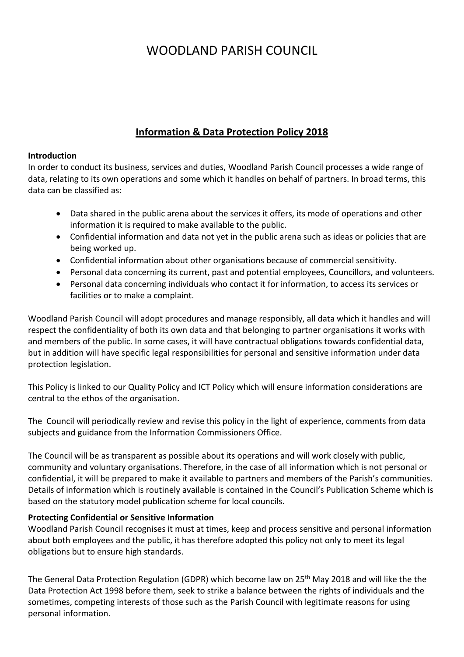# WOODLAND PARISH COUNCIL

## **Information & Data Protection Policy 2018**

#### **Introduction**

In order to conduct its business, services and duties, Woodland Parish Council processes a wide range of data, relating to its own operations and some which it handles on behalf of partners. In broad terms, this data can be classified as:

- Data shared in the public arena about the services it offers, its mode of operations and other information it is required to make available to the public.
- Confidential information and data not yet in the public arena such as ideas or policies that are being worked up.
- Confidential information about other organisations because of commercial sensitivity.
- Personal data concerning its current, past and potential employees, Councillors, and volunteers.
- Personal data concerning individuals who contact it for information, to access its services or facilities or to make a complaint.

Woodland Parish Council will adopt procedures and manage responsibly, all data which it handles and will respect the confidentiality of both its own data and that belonging to partner organisations it works with and members of the public. In some cases, it will have contractual obligations towards confidential data, but in addition will have specific legal responsibilities for personal and sensitive information under data protection legislation.

This Policy is linked to our Quality Policy and ICT Policy which will ensure information considerations are central to the ethos of the organisation.

The Council will periodically review and revise this policy in the light of experience, comments from data subjects and guidance from the Information Commissioners Office.

The Council will be as transparent as possible about its operations and will work closely with public, community and voluntary organisations. Therefore, in the case of all information which is not personal or confidential, it will be prepared to make it available to partners and members of the Parish's communities. Details of information which is routinely available is contained in the Council's Publication Scheme which is based on the statutory model publication scheme for local councils.

## **Protecting Confidential or Sensitive Information**

Woodland Parish Council recognises it must at times, keep and process sensitive and personal information about both employees and the public, it has therefore adopted this policy not only to meet its legal obligations but to ensure high standards.

The General Data Protection Regulation (GDPR) which become law on 25<sup>th</sup> May 2018 and will like the the Data Protection Act 1998 before them, seek to strike a balance between the rights of individuals and the sometimes, competing interests of those such as the Parish Council with legitimate reasons for using personal information.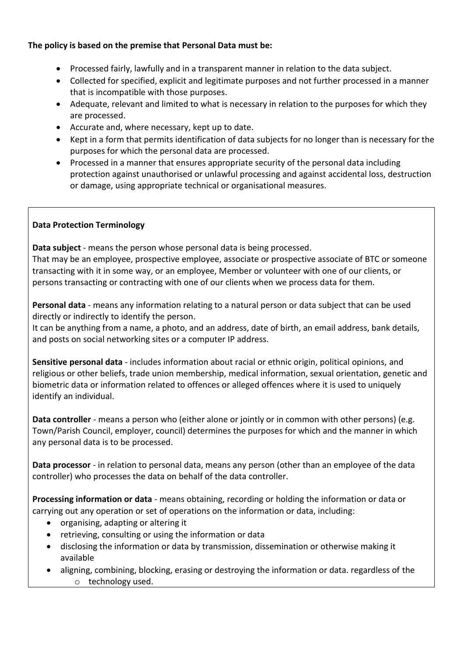## **The policy is based on the premise that Personal Data must be:**

- Processed fairly, lawfully and in a transparent manner in relation to the data subject.
- Collected for specified, explicit and legitimate purposes and not further processed in a manner that is incompatible with those purposes.
- Adequate, relevant and limited to what is necessary in relation to the purposes for which they are processed.
- Accurate and, where necessary, kept up to date.
- Kept in a form that permits identification of data subjects for no longer than is necessary for the purposes for which the personal data are processed.
- Processed in a manner that ensures appropriate security of the personal data including protection against unauthorised or unlawful processing and against accidental loss, destruction or damage, using appropriate technical or organisational measures.

## **Data Protection Terminology**

**Data subject** - means the person whose personal data is being processed. That may be an employee, prospective employee, associate or prospective associate of BTC or someone transacting with it in some way, or an employee, Member or volunteer with one of our clients, or persons transacting or contracting with one of our clients when we process data for them.

**Personal data** - means any information relating to a natural person or data subject that can be used directly or indirectly to identify the person.

It can be anything from a name, a photo, and an address, date of birth, an email address, bank details, and posts on social networking sites or a computer IP address.

**Sensitive personal data** - includes information about racial or ethnic origin, political opinions, and religious or other beliefs, trade union membership, medical information, sexual orientation, genetic and biometric data or information related to offences or alleged offences where it is used to uniquely identify an individual.

**Data controller** - means a person who (either alone or jointly or in common with other persons) (e.g. Town/Parish Council, employer, council) determines the purposes for which and the manner in which any personal data is to be processed.

**Data processor** - in relation to personal data, means any person (other than an employee of the data controller) who processes the data on behalf of the data controller.

**Processing information or data** - means obtaining, recording or holding the information or data or carrying out any operation or set of operations on the information or data, including:

- organising, adapting or altering it
- retrieving, consulting or using the information or data
- disclosing the information or data by transmission, dissemination or otherwise making it available
- aligning, combining, blocking, erasing or destroying the information or data. regardless of the o technology used.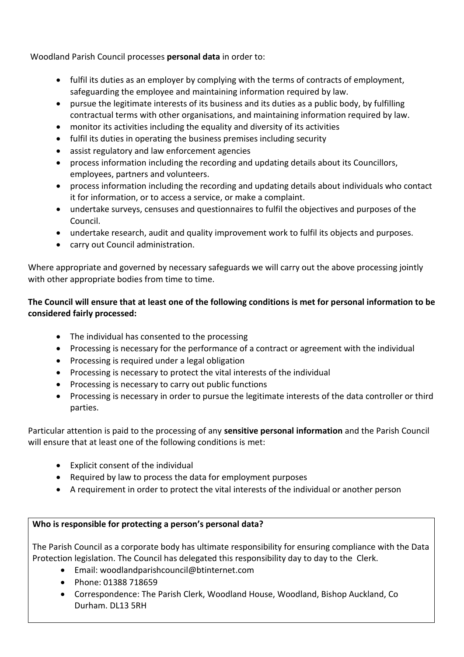Woodland Parish Council processes **personal data** in order to:

- fulfil its duties as an employer by complying with the terms of contracts of employment, safeguarding the employee and maintaining information required by law.
- pursue the legitimate interests of its business and its duties as a public body, by fulfilling contractual terms with other organisations, and maintaining information required by law.
- monitor its activities including the equality and diversity of its activities
- fulfil its duties in operating the business premises including security
- assist regulatory and law enforcement agencies
- process information including the recording and updating details about its Councillors, employees, partners and volunteers.
- process information including the recording and updating details about individuals who contact it for information, or to access a service, or make a complaint.
- undertake surveys, censuses and questionnaires to fulfil the objectives and purposes of the Council.
- undertake research, audit and quality improvement work to fulfil its objects and purposes.
- carry out Council administration.

Where appropriate and governed by necessary safeguards we will carry out the above processing jointly with other appropriate bodies from time to time.

## **The Council will ensure that at least one of the following conditions is met for personal information to be considered fairly processed:**

- The individual has consented to the processing
- Processing is necessary for the performance of a contract or agreement with the individual
- Processing is required under a legal obligation
- Processing is necessary to protect the vital interests of the individual
- Processing is necessary to carry out public functions
- Processing is necessary in order to pursue the legitimate interests of the data controller or third parties.

Particular attention is paid to the processing of any **sensitive personal information** and the Parish Council will ensure that at least one of the following conditions is met:

- Explicit consent of the individual
- Required by law to process the data for employment purposes
- A requirement in order to protect the vital interests of the individual or another person

## **Who is responsible for protecting a person's personal data?**

The Parish Council as a corporate body has ultimate responsibility for ensuring compliance with the Data Protection legislation. The Council has delegated this responsibility day to day to the Clerk.

- Email: woodlandparishcouncil@btinternet.com
- Phone: 01388 718659
- Correspondence: The Parish Clerk, Woodland House, Woodland, Bishop Auckland, Co Durham. DL13 5RH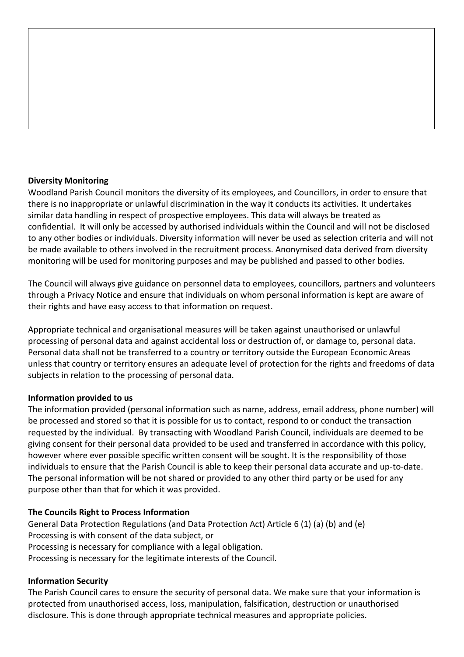#### **Diversity Monitoring**

Woodland Parish Council monitors the diversity of its employees, and Councillors, in order to ensure that there is no inappropriate or unlawful discrimination in the way it conducts its activities. It undertakes similar data handling in respect of prospective employees. This data will always be treated as confidential. It will only be accessed by authorised individuals within the Council and will not be disclosed to any other bodies or individuals. Diversity information will never be used as selection criteria and will not be made available to others involved in the recruitment process. Anonymised data derived from diversity monitoring will be used for monitoring purposes and may be published and passed to other bodies.

The Council will always give guidance on personnel data to employees, councillors, partners and volunteers through a Privacy Notice and ensure that individuals on whom personal information is kept are aware of their rights and have easy access to that information on request.

Appropriate technical and organisational measures will be taken against unauthorised or unlawful processing of personal data and against accidental loss or destruction of, or damage to, personal data. Personal data shall not be transferred to a country or territory outside the European Economic Areas unless that country or territory ensures an adequate level of protection for the rights and freedoms of data subjects in relation to the processing of personal data.

#### **Information provided to us**

The information provided (personal information such as name, address, email address, phone number) will be processed and stored so that it is possible for us to contact, respond to or conduct the transaction requested by the individual. By transacting with Woodland Parish Council, individuals are deemed to be giving consent for their personal data provided to be used and transferred in accordance with this policy, however where ever possible specific written consent will be sought. It is the responsibility of those individuals to ensure that the Parish Council is able to keep their personal data accurate and up-to-date. The personal information will be not shared or provided to any other third party or be used for any purpose other than that for which it was provided.

## **The Councils Right to Process Information**

General Data Protection Regulations (and Data Protection Act) Article 6 (1) (a) (b) and (e) Processing is with consent of the data subject, or Processing is necessary for compliance with a legal obligation. Processing is necessary for the legitimate interests of the Council.

## **Information Security**

The Parish Council cares to ensure the security of personal data. We make sure that your information is protected from unauthorised access, loss, manipulation, falsification, destruction or unauthorised disclosure. This is done through appropriate technical measures and appropriate policies.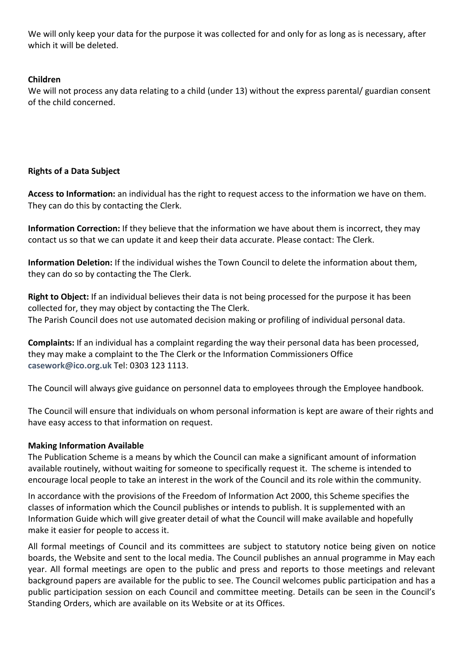We will only keep your data for the purpose it was collected for and only for as long as is necessary, after which it will be deleted.

## **Children**

We will not process any data relating to a child (under 13) without the express parental/ guardian consent of the child concerned.

## **Rights of a Data Subject**

**Access to Information:** an individual has the right to request access to the information we have on them. They can do this by contacting the Clerk.

**Information Correction:** If they believe that the information we have about them is incorrect, they may contact us so that we can update it and keep their data accurate. Please contact: The Clerk.

**Information Deletion:** If the individual wishes the Town Council to delete the information about them, they can do so by contacting the The Clerk.

**Right to Object:** If an individual believes their data is not being processed for the purpose it has been collected for, they may object by contacting the The Clerk. The Parish Council does not use automated decision making or profiling of individual personal data.

**Complaints:** If an individual has a complaint regarding the way their personal data has been processed, they may make a complaint to the The Clerk or the Information Commissioners Office **[casework@ico.org.uk](mailto:casework@ico.org.uk)** Tel: 0303 123 1113.

The Council will always give guidance on personnel data to employees through the Employee handbook.

The Council will ensure that individuals on whom personal information is kept are aware of their rights and have easy access to that information on request.

## **Making Information Available**

The Publication Scheme is a means by which the Council can make a significant amount of information available routinely, without waiting for someone to specifically request it. The scheme is intended to encourage local people to take an interest in the work of the Council and its role within the community.

In accordance with the provisions of the Freedom of Information Act 2000, this Scheme specifies the classes of information which the Council publishes or intends to publish. It is supplemented with an Information Guide which will give greater detail of what the Council will make available and hopefully make it easier for people to access it.

All formal meetings of Council and its committees are subject to statutory notice being given on notice boards, the Website and sent to the local media. The Council publishes an annual programme in May each year. All formal meetings are open to the public and press and reports to those meetings and relevant background papers are available for the public to see. The Council welcomes public participation and has a public participation session on each Council and committee meeting. Details can be seen in the Council's Standing Orders, which are available on its Website or at its Offices.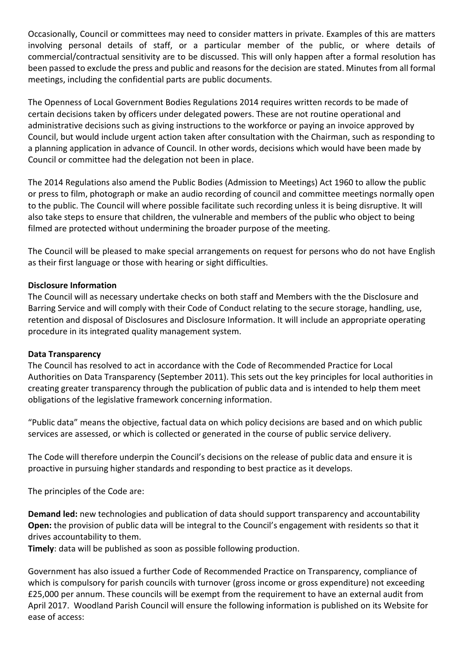Occasionally, Council or committees may need to consider matters in private. Examples of this are matters involving personal details of staff, or a particular member of the public, or where details of commercial/contractual sensitivity are to be discussed. This will only happen after a formal resolution has been passed to exclude the press and public and reasons for the decision are stated. Minutes from all formal meetings, including the confidential parts are public documents.

The Openness of Local Government Bodies Regulations 2014 requires written records to be made of certain decisions taken by officers under delegated powers. These are not routine operational and administrative decisions such as giving instructions to the workforce or paying an invoice approved by Council, but would include urgent action taken after consultation with the Chairman, such as responding to a planning application in advance of Council. In other words, decisions which would have been made by Council or committee had the delegation not been in place.

The 2014 Regulations also amend the Public Bodies (Admission to Meetings) Act 1960 to allow the public or press to film, photograph or make an audio recording of council and committee meetings normally open to the public. The Council will where possible facilitate such recording unless it is being disruptive. It will also take steps to ensure that children, the vulnerable and members of the public who object to being filmed are protected without undermining the broader purpose of the meeting.

The Council will be pleased to make special arrangements on request for persons who do not have English as their first language or those with hearing or sight difficulties.

#### **Disclosure Information**

The Council will as necessary undertake checks on both staff and Members with the the Disclosure and Barring Service and will comply with their Code of Conduct relating to the secure storage, handling, use, retention and disposal of Disclosures and Disclosure Information. It will include an appropriate operating procedure in its integrated quality management system.

#### **Data Transparency**

The Council has resolved to act in accordance with the Code of Recommended Practice for Local Authorities on Data Transparency (September 2011). This sets out the key principles for local authorities in creating greater transparency through the publication of public data and is intended to help them meet obligations of the legislative framework concerning information.

"Public data" means the objective, factual data on which policy decisions are based and on which public services are assessed, or which is collected or generated in the course of public service delivery.

The Code will therefore underpin the Council's decisions on the release of public data and ensure it is proactive in pursuing higher standards and responding to best practice as it develops.

The principles of the Code are:

**Demand led:** new technologies and publication of data should support transparency and accountability **Open:** the provision of public data will be integral to the Council's engagement with residents so that it drives accountability to them.

**Timely**: data will be published as soon as possible following production.

Government has also issued a further Code of Recommended Practice on Transparency, compliance of which is compulsory for parish councils with turnover (gross income or gross expenditure) not exceeding £25,000 per annum. These councils will be exempt from the requirement to have an external audit from April 2017. Woodland Parish Council will ensure the following information is published on its Website for ease of access: